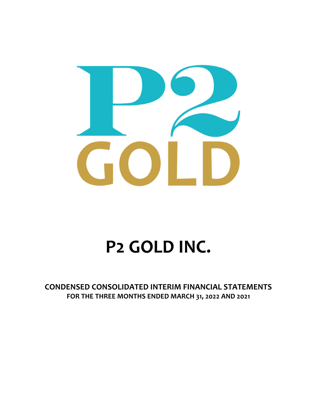

# **P2 GOLD INC.**

**CONDENSED CONSOLIDATED INTERIM FINANCIAL STATEMENTS FOR THE THREE MONTHS ENDED MARCH 31, 2022 AND 2021**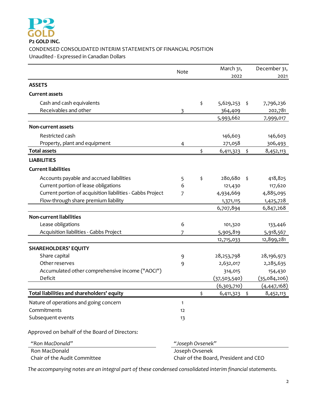

## **P2 GOLD INC.** CONDENSED CONSOLIDATED INTERIM STATEMENTS OF FINANCIAL POSITION Unaudited ‐ Expressed in Canadian Dollars

|                                                            | Note             |    | March 31,    |               |              |
|------------------------------------------------------------|------------------|----|--------------|---------------|--------------|
|                                                            |                  |    | 2022         |               | 2021         |
| <b>ASSETS</b>                                              |                  |    |              |               |              |
| <b>Current assets</b>                                      |                  |    |              |               |              |
| Cash and cash equivalents                                  |                  | \$ | 5,629,253    | \$            | 7,796,236    |
| Receivables and other                                      | 3                |    | 364,409      |               | 202,781      |
|                                                            |                  |    | 5,993,662    |               | 7,999,017    |
| <b>Non-current assets</b>                                  |                  |    |              |               |              |
| Restricted cash                                            |                  |    | 146,603      |               | 146,603      |
| Property, plant and equipment                              | 4                |    | 271,058      |               | 306,493      |
| <b>Total assets</b>                                        |                  | \$ | 6,411,323    | \$            | 8,452,113    |
| <b>LIABILITIES</b>                                         |                  |    |              |               |              |
| <b>Current liabilities</b>                                 |                  |    |              |               |              |
| Accounts payable and accrued liabilities                   | 5                | \$ | 280,680      | $\frac{1}{2}$ | 418,825      |
| Current portion of lease obligations                       | 6                |    | 121,430      |               | 117,620      |
| Current portion of acquisition liabilities - Gabbs Project | 7                |    | 4,934,669    |               | 4,885,095    |
| Flow-through share premium liability                       |                  |    | 1,371,115    |               | 1,425,728    |
|                                                            |                  |    | 6,707,894    |               | 6,847,268    |
| <b>Non-current liabilities</b>                             |                  |    |              |               |              |
| Lease obligations                                          | 6                |    | 101,320      |               | 133,446      |
| Acquisition liabilities - Gabbs Project                    | 7                |    | 5,905,819    |               | 5,918,567    |
|                                                            |                  |    | 12,715,033   |               | 12,899,281   |
| <b>SHAREHOLDERS' EQUITY</b>                                |                  |    |              |               |              |
| Share capital                                              | 9                |    | 28, 253, 798 |               | 28,196,973   |
| Other reserves                                             | 9                |    | 2,632,017    |               | 2,285,635    |
| Accumulated other comprehensive income ("AOCI")            |                  |    | 314,015      |               | 154,430      |
| Deficit                                                    |                  |    | (37,503,540) |               | (35,084,206) |
|                                                            |                  |    | (6,303,710)  |               | (4,447,168)  |
| Total liabilities and shareholders' equity                 |                  | \$ | 6,411,323    | \$            | 8,452,113    |
| Nature of operations and going concern                     | 1                |    |              |               |              |
| Commitments                                                | 12               |    |              |               |              |
| Subsequent events                                          | 13               |    |              |               |              |
| Approved on behalf of the Board of Directors:              |                  |    |              |               |              |
| "Ron MacDonald"                                            | "Joseph Ovsenek" |    |              |               |              |
| Ron MacDonald                                              | Joseph Ovsenek   |    |              |               |              |

*The accompanying notes are an integral part of these condensed consolidated interim financial statements.*

Chair of the Audit Committee Chair of the Board, President and CEO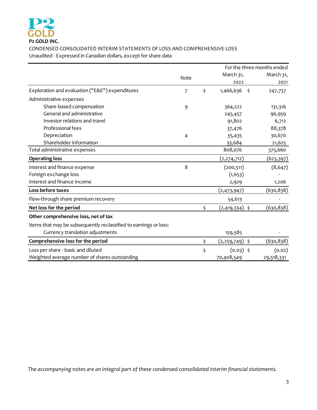

CONDENSED CONSOLIDATED INTERIM STATEMENTS OF LOSS AND COMPREHENSIVE LOSS Unaudited - Expressed in Canadian dollars, except for share data

|                                                                  |      |                         | For the three months ended |  |
|------------------------------------------------------------------|------|-------------------------|----------------------------|--|
|                                                                  | Note | March 31,               | March 31,                  |  |
|                                                                  |      | 2022                    | 2021                       |  |
| Exploration and evaluation ("E&E") expenditures                  | 7    | \$<br>1,466,636<br>- \$ | 247,737                    |  |
| Administrative expenses                                          |      |                         |                            |  |
| Share-based compensation                                         | 9    | 364,222                 | 131,316                    |  |
| General and administrative                                       |      | 245,457                 | 96,959                     |  |
| Investor relations and travel                                    |      | 91,802                  | 6,712                      |  |
| Professional fees                                                |      | 37,476                  | 88,378                     |  |
| Depreciation                                                     | 4    | 35,435                  | 30,670                     |  |
| Shareholder information                                          |      | 33,684                  | 21,625                     |  |
| Total administrative expenses                                    |      | 808,076                 | 375,660                    |  |
| <b>Operating loss</b>                                            |      | (2, 274, 712)           | <u>(623,397) </u>          |  |
| Interest and finance expense                                     | 8    | (200, 511)              | (8, 647)                   |  |
| Foreign exchange loss                                            |      | (1, 653)                |                            |  |
| Interest and finance income                                      |      | 2,929                   | 1,206                      |  |
| Loss before taxes                                                |      | (2,473,947)             | (630,838)                  |  |
| Flow-through share premium recovery                              |      | 54,613                  |                            |  |
| Net loss for the period                                          |      | \$<br>(2,419,334) \$    | (630, 838)                 |  |
| Other comprehensive loss, net of tax                             |      |                         |                            |  |
| Items that may be subsequently reclassified to earnings or loss: |      |                         |                            |  |
| Currency translation adjustments                                 |      | 159,585                 |                            |  |
| Comprehensive loss for the period                                |      | \$<br>(2,259,749) \$    | (630,838)                  |  |
| Loss per share - basic and diluted                               |      | \$<br>$(0.03)$ \$       | (0.02)                     |  |
| Weighted average number of shares outstanding                    |      | 70,408,549              | 29,518,331                 |  |

*The accompanying notes are an integral part of these condensed consolidated interim financial statements.*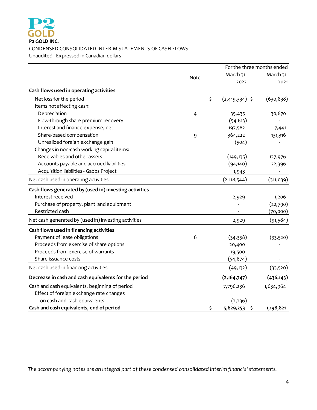

#### CONDENSED CONSOLIDATED INTERIM STATEMENTS OF CASH FLOWS

Unaudited ‐ Expressed in Canadian dollars

|                                                        |                | For the three months ended |            |  |  |
|--------------------------------------------------------|----------------|----------------------------|------------|--|--|
|                                                        | Note           | March 31,                  | March 31,  |  |  |
|                                                        |                | 2022                       | 2021       |  |  |
| Cash flows used in operating activities                |                |                            |            |  |  |
| Net loss for the period                                |                | \$<br>$(2,419,334)$ \$     | (630, 838) |  |  |
| Items not affecting cash:                              |                |                            |            |  |  |
| Depreciation                                           | $\overline{4}$ | 35,435                     | 30,670     |  |  |
| Flow-through share premium recovery                    |                | (54, 613)                  |            |  |  |
| Interest and finance expense, net                      |                | 197,582                    | 7,441      |  |  |
| Share-based compensation                               | 9              | 364,222                    | 131,316    |  |  |
| Unrealized foreign exchange gain                       |                | (504)                      |            |  |  |
| Changes in non-cash working capital items:             |                |                            |            |  |  |
| Receivables and other assets                           |                | (149, 135)                 | 127,976    |  |  |
| Accounts payable and accrued liabilities               |                | (94, 140)                  | 22,396     |  |  |
| Acquisition liabilities - Gabbs Project                |                | 1,943                      |            |  |  |
| Net cash used in operating activities                  |                | (2, 118, 544)              | (311, 039) |  |  |
| Cash flows generated by (used in) investing activities |                |                            |            |  |  |
| Interest received                                      |                | 2,929                      | 1,206      |  |  |
| Purchase of property, plant and equipment              |                |                            | (22,790)   |  |  |
| Restricted cash                                        |                |                            | (70,000)   |  |  |
| Net cash generated by (used in) investing activities   |                | 2,929                      | (91, 584)  |  |  |
| Cash flows used in financing activities                |                |                            |            |  |  |
| Payment of lease obligations                           | 6              | (34,358)                   | (33,520)   |  |  |
| Proceeds from exercise of share options                |                | 20,400                     |            |  |  |
| Proceeds from exercise of warrants                     |                | 19,500                     |            |  |  |
| Share issuance costs                                   |                | (54, 674)                  |            |  |  |
| Net cash used in financing activities                  |                | (49, 132)                  | (33,520)   |  |  |
| Decrease in cash and cash equivalents for the period   |                | (2,164,747)                | (436, 143) |  |  |
| Cash and cash equivalents, beginning of period         |                | 7,796,236                  | 1,634,964  |  |  |
| Effect of foreign exchange rate changes                |                |                            |            |  |  |
| on cash and cash equivalents                           |                | (2, 236)                   |            |  |  |
| Cash and cash equivalents, end of period               |                | \$<br>5,629,253<br>\$      | 1,198,821  |  |  |

*The accompanying notes are an integral part of these condensed consolidated interim financial statements.*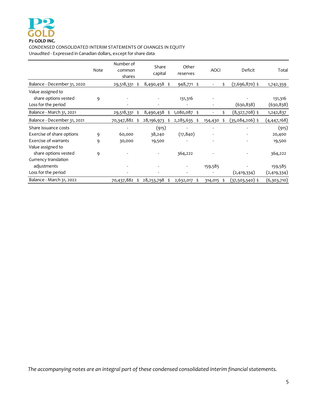#### CONDENSED CONSOLIDATED INTERIM STATEMENTS OF CHANGES IN EQUITY Unaudited - Expressed in Canadian dollars, except for share data

Note Number of common shares Share capital Other reserves AOCI Deficit Total Balance - December 31, 2020 29,518,331 \$ 8,490,458 \$ 948,771 \$ 5 (7,696,870) \$ 1,742,359 Value assigned to share options vested a set of the set of the set of the set of the set of the set of the set of the set of the set of the set of the set of the set of the set of the set of the set of the set of the set of the set of the s Loss for the period **by the contract of the contract of the contract of the contract of the contract of the contract of the contract of the contract of the contract of the contract of the contract of the contract of the co** Balance ‐ March 31, 2021 29,518,331 \$ 8,490,458 \$ 1,080,087 \$ ‐ \$ (8,327,708) \$ 1,242,837 Balance - December 31, 2021 70,347,882 \$ 28,196,973 \$ 2,285,635 \$ 154,430 \$ (35,084,206) \$ (4,447,168) Share issuance costs ‐ ‐ (915) ‐ ‐ (915) Exercise of share options  $9$  60,000  $38,240$   $(17,840)$   $(17,840)$   $(17,840)$ Exercise of warrants  $9 \qquad 30,000 \qquad 19,500$ Value assigned to share options vested 9 ‐ ‐ ‐ 364,222 ‐ 364,222 Currency translation adjustments ‐ ‐ ‐ ‐ 159,585 159,585  $\sim$   $(2,419,334)$   $(2,419,334)$ Balance - March 31, 2022 70,437,882 \$ 28,253,798 \$ 2,632,017 \$ 314,015 \$ (37,503,540) \$ (6,303,710)

*The accompanying notes are an integral part of these condensed consolidated interim financial statements.*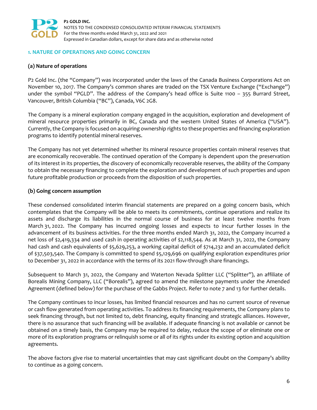

#### **1. NATURE OF OPERATIONS AND GOING CONCERN**

#### **(a) Nature of operations**

P2 Gold Inc. (the "Company") was incorporated under the laws of the Canada Business Corporations Act on November 10, 2017. The Company's common shares are traded on the TSX Venture Exchange ("Exchange") under the symbol "PGLD". The address of the Company's head office is Suite 1100 – 355 Burrard Street, Vancouver, British Columbia ("BC"), Canada, V6C 2G8.

The Company is a mineral exploration company engaged in the acquisition, exploration and development of mineral resource properties primarily in BC, Canada and the western United States of America ("USA"). Currently, the Company is focused on acquiring ownership rights to these properties and financing exploration programs to identify potential mineral reserves.

The Company has not yet determined whether its mineral resource properties contain mineral reserves that are economically recoverable. The continued operation of the Company is dependent upon the preservation of its interest in its properties, the discovery of economically recoverable reserves, the ability of the Company to obtain the necessary financing to complete the exploration and development of such properties and upon future profitable production or proceeds from the disposition of such properties.

#### **(b) Going concern assumption**

These condensed consolidated interim financial statements are prepared on a going concern basis, which contemplates that the Company will be able to meets its commitments, continue operations and realize its assets and discharge its liabilities in the normal course of business for at least twelve months from March 31, 2022. The Company has incurred ongoing losses and expects to incur further losses in the advancement of its business activities. For the three months ended March 31, 2022, the Company incurred a net loss of \$2,419,334 and used cash in operating activities of \$2,118,544. As at March 31, 2022, the Company had cash and cash equivalents of \$5,629,253, a working capital deficit of \$714,232 and an accumulated deficit of \$37,503,540. The Company is committed to spend \$5,129,696 on qualifying exploration expenditures prior to December 31, 2022 in accordance with the terms of its 2021 flow-through share financings.

Subsequent to March 31, 2022, the Company and Waterton Nevada Splitter LLC ("Splitter"), an affiliate of Borealis Mining Company, LLC ("Borealis"), agreed to amend the milestone payments under the Amended Agreement (defined below) for the purchase of the Gabbs Project. Refer to note 7 and 13 for further details.

The Company continues to incur losses, has limited financial resources and has no current source of revenue or cash flow generated from operating activities. To address its financing requirements, the Company plans to seek financing through, but not limited to, debt financing, equity financing and strategic alliances. However, there is no assurance that such financing will be available. If adequate financing is not available or cannot be obtained on a timely basis, the Company may be required to delay, reduce the scope of or eliminate one or more of its exploration programs or relinquish some or all of its rights under its existing option and acquisition agreements.

The above factors give rise to material uncertainties that may cast significant doubt on the Company's ability to continue as a going concern.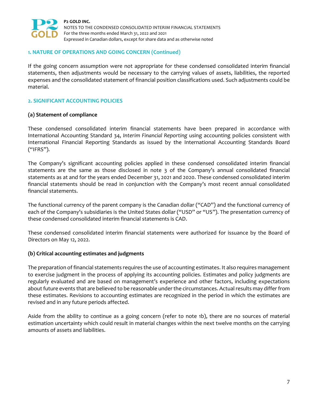

#### **1. NATURE OF OPERATIONS AND GOING CONCERN (Continued)**

If the going concern assumption were not appropriate for these condensed consolidated interim financial statements, then adjustments would be necessary to the carrying values of assets, liabilities, the reported expenses and the consolidated statement of financial position classifications used. Such adjustments could be material.

### **2. SIGNIFICANT ACCOUNTING POLICIES**

#### **(a) Statement of compliance**

These condensed consolidated interim financial statements have been prepared in accordance with International Accounting Standard 34, *Interim Financial Reporting* using accounting policies consistent with International Financial Reporting Standards as issued by the International Accounting Standards Board ("IFRS").

The Company's significant accounting policies applied in these condensed consolidated interim financial statements are the same as those disclosed in note 3 of the Company's annual consolidated financial statements as at and for the years ended December 31, 2021 and 2020. These condensed consolidated interim financial statements should be read in conjunction with the Company's most recent annual consolidated financial statements.

The functional currency of the parent company is the Canadian dollar ("CAD") and the functional currency of each of the Company's subsidiaries is the United States dollar ("USD" or "US"). The presentation currency of these condensed consolidated interim financial statements is CAD.

These condensed consolidated interim financial statements were authorized for issuance by the Board of Directors on May 12, 2022.

#### **(b) Critical accounting estimates and judgments**

The preparation of financial statements requires the use of accounting estimates. It also requires management to exercise judgment in the process of applying its accounting policies. Estimates and policy judgments are regularly evaluated and are based on management's experience and other factors, including expectations about future events that are believed to be reasonable under the circumstances. Actual results may differ from these estimates. Revisions to accounting estimates are recognized in the period in which the estimates are revised and in any future periods affected.

Aside from the ability to continue as a going concern (refer to note 1b), there are no sources of material estimation uncertainty which could result in material changes within the next twelve months on the carrying amounts of assets and liabilities.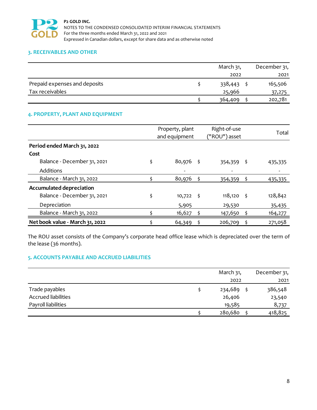

## **3. RECEIVABLES AND OTHER**

|                               | March 31, | December 31, |
|-------------------------------|-----------|--------------|
|                               | 2022      | 2021         |
| Prepaid expenses and deposits | 338,443   | 165,506      |
| Tax receivables               | 25,966    | 37,275       |
|                               | 364,409   | 202,781      |

## **4. PROPERTY, PLANT AND EQUIPMENT**

|                                 | Property, plant<br>and equipment |      | Right-of-use<br>("ROU") asset |     | Total   |
|---------------------------------|----------------------------------|------|-------------------------------|-----|---------|
| Period ended March 31, 2022     |                                  |      |                               |     |         |
| Cost                            |                                  |      |                               |     |         |
| Balance - December 31, 2021     | \$<br>$80,976$ \$                |      | $354,359$ \$                  |     | 435,335 |
| Additions                       |                                  |      |                               |     |         |
| Balance - March 31, 2022        | 80,976                           |      | 354,359                       | \$. | 435,335 |
| Accumulated depreciation        |                                  |      |                               |     |         |
| Balance - December 31, 2021     | \$<br>10,722                     | - \$ | 118,120                       | Š.  | 128,842 |
| Depreciation                    | 5,905                            |      | 29,530                        |     | 35,435  |
| Balance - March 31, 2022        | 16,627                           |      | 147,650                       | Ş   | 164,277 |
| Net book value - March 31, 2022 | 64,349                           |      | 206,709                       |     | 271,058 |

The ROU asset consists of the Company's corporate head office lease which is depreciated over the term of the lease (36 months).

# **5. ACCOUNTS PAYABLE AND ACCRUED LIABILITIES**

|                            | March 31, | December 31, |
|----------------------------|-----------|--------------|
|                            | 2022      | 2021         |
| Trade payables             | 234,689   | 386,548      |
| <b>Accrued liabilities</b> | 26,406    | 23,540       |
| Payroll liabilities        | 19,585    | 8,737        |
|                            | 280,680   | 418,825      |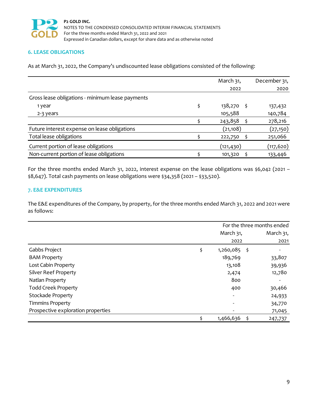

# **6. LEASE OBLIGATIONS**

As at March 31, 2022, the Company's undiscounted lease obligations consisted of the following:

|                                                  | March 31,        | December 31, |
|--------------------------------------------------|------------------|--------------|
|                                                  | 2022             | 2020         |
| Gross lease obligations - minimum lease payments |                  |              |
| 1 year                                           | \$<br>138,270 \$ | 137,432      |
| 2-3 years                                        | 105,588          | 140,784      |
|                                                  | 243,858          | 278,216      |
| Future interest expense on lease obligations     | (21,108)         | (27, 150)    |
| Total lease obligations                          | 222,750          | 251,066      |
| Current portion of lease obligations             | (121,430)        | (117,620)    |
| Non-current portion of lease obligations         | 101,320          | 133,446      |

For the three months ended March 31, 2022, interest expense on the lease obligations was \$6,042 (2021 -\$8,647). Total cash payments on lease obligations were \$34,358 (2021 – \$33,520).

#### **7. E&E EXPENDITURES**

The E&E expenditures of the Company, by property, for the three months ended March 31, 2022 and 2021 were as follows:

|                                    | For the three months ended |      |           |  |
|------------------------------------|----------------------------|------|-----------|--|
|                                    | March 31,                  |      | March 31, |  |
|                                    | 2022                       |      | 2021      |  |
| Gabbs Project                      | \$<br>1,260,085            | - \$ |           |  |
| <b>BAM Property</b>                | 189,769                    |      | 33,807    |  |
| Lost Cabin Property                | 13,108                     |      | 39,936    |  |
| <b>Silver Reef Property</b>        | 2,474                      |      | 12,780    |  |
| Natlan Property                    | 800                        |      |           |  |
| <b>Todd Creek Property</b>         | 400                        |      | 30,466    |  |
| <b>Stockade Property</b>           | -                          |      | 24,933    |  |
| <b>Timmins Property</b>            |                            |      | 34,770    |  |
| Prospective exploration properties |                            |      | 71,045    |  |
|                                    | 1,466,636                  |      | 247,737   |  |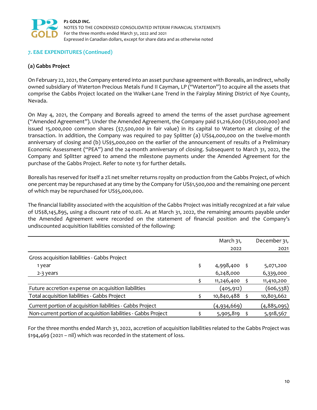

## **7. E&E EXPENDITURES (Continued)**

## **(a) Gabbs Project**

On February 22, 2021, the Company entered into an asset purchase agreement with Borealis, an indirect, wholly owned subsidiary of Waterton Precious Metals Fund II Cayman, LP ("Waterton") to acquire all the assets that comprise the Gabbs Project located on the Walker‐Lane Trend in the Fairplay Mining District of Nye County, Nevada.

On May 4, 2021, the Company and Borealis agreed to amend the terms of the asset purchase agreement ("Amended Agreement"). Under the Amended Agreement, the Company paid \$1,216,600 (US\$1,000,000) and issued 15,000,000 common shares (\$7,500,000 in fair value) in its capital to Waterton at closing of the transaction. In addition, the Company was required to pay Splitter (a) US\$4,000,000 on the twelve-month anniversary of closing and (b) US\$5,000,000 on the earlier of the announcement of results of a Preliminary Economic Assessment ("PEA") and the 24‐month anniversary of closing. Subsequent to March 31, 2022, the Company and Splitter agreed to amend the milestone payments under the Amended Agreement for the purchase of the Gabbs Project. Refer to note 13 for further details.

Borealis has reserved for itself a 2% net smelter returns royalty on production from the Gabbs Project, of which one percent may be repurchased at any time by the Company for US\$1,500,000 and the remaining one percent of which may be repurchased for US\$5,000,000.

The financial liability associated with the acquisition of the Gabbs Project was initially recognized at a fair value of US\$8,145,895, using a discount rate of 10.0%. As at March 31, 2022, the remaining amounts payable under the Amended Agreement were recorded on the statement of financial position and the Company's undiscounted acquisition liabilities consisted of the following:

|                                                                | March 31,          | December 31, |
|----------------------------------------------------------------|--------------------|--------------|
|                                                                | 2022               | 2021         |
| Gross acquisition liabilities - Gabbs Project                  |                    |              |
| 1 year                                                         | \$<br>4,998,400 \$ | 5,071,200    |
| 2-3 years                                                      | 6,248,000          | 6,339,000    |
|                                                                | 11,246,400         | 11,410,200   |
| Future accretion expense on acquisition liabilities            | (405,912)          | (606,538)    |
| Total acquisition liabilities - Gabbs Project                  | 10,840,488         | 10,803,662   |
| Current portion of acquisition liabilities - Gabbs Project     | (4,934,669)        | (4,885,095)  |
| Non-current portion of acquisition liabilities - Gabbs Project | 5,905,819          | 5,918,567    |

For the three months ended March 31, 2022, accretion of acquisition liabilities related to the Gabbs Project was \$194,469 (2021 – nil) which was recorded in the statement of loss.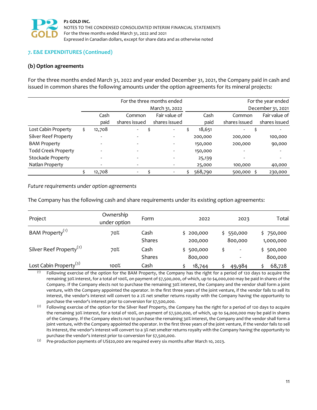

## **7. E&E EXPENDITURES (Continued)**

#### **(b) Option agreements**

For the three months ended March 31, 2022 and year ended December 31, 2021, the Company paid in cash and issued in common shares the following amounts under the option agreements for its mineral projects:

|                            | For the three months ended |               |  |                          |  |         |               | For the year ended |
|----------------------------|----------------------------|---------------|--|--------------------------|--|---------|---------------|--------------------|
|                            |                            |               |  | March 31, 2022           |  |         |               | December 31, 2021  |
|                            | Cash                       | Common        |  | Fair value of            |  | Cash    | Common        | Fair value of      |
|                            | paid                       | shares issued |  | shares issued            |  | paid    | shares issued | shares issued      |
| Lost Cabin Property        | \$<br>12,708               | ۰.            |  | $\overline{\phantom{a}}$ |  | 18,651  | ۰             |                    |
| Silver Reef Property       |                            |               |  |                          |  | 200,000 | 200,000       | 100,000            |
| <b>BAM Property</b>        |                            |               |  |                          |  | 150,000 | 200,000       | 90,000             |
| <b>Todd Creek Property</b> |                            |               |  |                          |  | 150,000 |               |                    |
| <b>Stockade Property</b>   |                            |               |  |                          |  | 25,139  |               |                    |
| Natlan Property            |                            |               |  |                          |  | 25,000  | 100,000       | 40,000             |
|                            | 12,708                     | $\sim$        |  | $\overline{\phantom{a}}$ |  | 568,790 | 500,000       | 230,000            |

*Future requirements under option agreements*

The Company has the following cash and share requirements under its existing option agreements:

| Project                             | Ownership<br>under option | Form                  | 2022                 | 2023                     | Total                  |
|-------------------------------------|---------------------------|-----------------------|----------------------|--------------------------|------------------------|
| BAM Property <sup>(1)</sup>         | 70%                       | Cash<br><b>Shares</b> | \$200,000<br>200,000 | \$550,000<br>800,000     | \$750,000<br>1,000,000 |
| Silver Reef Property <sup>(2)</sup> | 70%                       | Cash<br><b>Shares</b> | \$500,000<br>800,000 | $\overline{\phantom{0}}$ | 500,000<br>800,000     |
| Lost Cabin Property <sup>(3)</sup>  | 100%                      | Cash                  | 18,744               | 49,984                   | 68,728                 |

 $<sup>(1)</sup>$  Following exercise of the option for the BAM Property, the Company has the right for a period of 120 days to acquire the</sup> remaining 30% interest, for a total of 100%, on payment of \$7,500,000, of which, up to \$4,000,000 may be paid in shares of the Company. If the Company elects not to purchase the remaining 30% interest, the Company and the vendor shall form a joint venture, with the Company appointed the operator. In the first three years of the joint venture, if the vendor fails to sell its interest, the vendor's interest will convert to a 2% net smelter returns royalty with the Company having the opportunity to purchase the vendor's interest prior to conversion for \$7,500,000.

 $(2)$  Following exercise of the option for the Silver Reef Property, the Company has the right for a period of 120 days to acquire the remaining 30% interest, for a total of 100%, on payment of \$7,500,000, of which, up to \$4,000,000 may be paid in shares of the Company. If the Company elects not to purchase the remaining 30% interest, the Company and the vendor shall form a joint venture, with the Company appointed the operator. In the first three years of the joint venture, if the vendor fails to sell its interest, the vendor's interest will convert to a 3% net smelter returns royalty with the Company having the opportunity to purchase the vendor's interest prior to conversion for \$7,500,000.

(3) Pre-production payments of US\$20,000 are required every six months after March 10, 2023.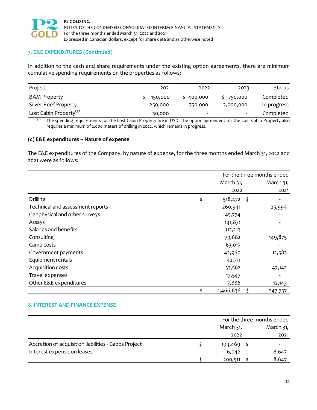

## **7. E&E EXPENDITURES (Continued)**

In addition to the cash and share requirements under the existing option agreements, there are minimum cumulative spending requirements on the properties as follows:

| Project                            | 2021    | 2022                     | 2023                     | <b>Status</b> |
|------------------------------------|---------|--------------------------|--------------------------|---------------|
| <b>BAM Property</b>                | 150,000 | 400,000                  | \$750,000                | Completed     |
| Silver Reef Property               | 250,000 | 750,000                  | 2,000,000                | In progress   |
| Lost Cabin Property <sup>(1)</sup> | 30,000  | $\overline{\phantom{0}}$ | $\overline{\phantom{0}}$ | Completed     |

(1) The spending requirements for the Lost Cabin Property are in USD. The option agreement for the Lost Cabin Property also requires a minimum of 2,000 meters of drilling in 2022, which remains in progress.

#### **(c) E&E expenditures – Nature of expense**

The E&E expenditures of the Company, by nature of expense, for the three months ended March 31, 2022 and 2021 were as follows:

|                                  | For the three months ended |    |           |  |
|----------------------------------|----------------------------|----|-----------|--|
|                                  | March 31,                  |    | March 31, |  |
|                                  | 2022                       |    | 2021      |  |
| Drilling                         | \$<br>518,472 \$           |    |           |  |
| Technical and assessment reports | 260,941                    |    | 25,994    |  |
| Geophysical and other surveys    | 145,774                    |    |           |  |
| Assays                           | 141,871                    |    |           |  |
| Salaries and benefits            | 112,213                    |    |           |  |
| Consulting                       | 79,682                     |    | 149,875   |  |
| Camp costs                       | 63,017                     |    |           |  |
| Government payments              | 42,960                     |    | 12,583    |  |
| Equipment rentals                | 42,711                     |    |           |  |
| Acquisition costs                | 33,562                     |    | 47,142    |  |
| Travel expenses                  | 17,547                     |    |           |  |
| Other E&E expenditures           | 7,886                      |    | 12,143    |  |
|                                  | 1,466,636                  | \$ | 247,737   |  |

## **8. INTEREST AND FINANCE EXPENSE**

|                                                      | For the three months ended |  |           |
|------------------------------------------------------|----------------------------|--|-----------|
|                                                      | March 31,                  |  | March 31, |
|                                                      | 2022                       |  | 2021      |
| Accretion of acquisition liabilities - Gabbs Project | 194,469                    |  |           |
| Interest expense on leases                           | 6,042                      |  | 8,647     |
|                                                      | 200,511                    |  | 8,647     |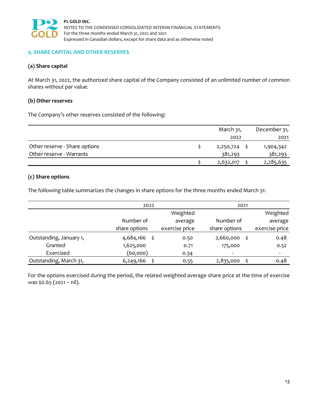

#### **9. SHARE CAPITAL AND OTHER RESERVES**

#### **(a) Share capital**

At March 31, 2022, the authorized share capital of the Company consisted of an unlimited number of common shares without par value.

#### **(b) Other reserves**

The Company's other reserves consisted of the following:

|                               | March 31, | December 31, |
|-------------------------------|-----------|--------------|
|                               | 2022      | 2021         |
| Other reserve - Share options | 2,250,724 | 1,904,342    |
| Other reserve - Warrants      | 381,293   | 381,293      |
|                               | 2,632,017 | 2,285,635    |

## **(c) Share options**

The following table summarizes the changes in share options for the three months ended March 31:

|                         | 2022              |                | 2021           |                |  |  |
|-------------------------|-------------------|----------------|----------------|----------------|--|--|
|                         |                   | Weighted       |                | Weighted       |  |  |
|                         | Number of         | average        | Number of      | average        |  |  |
|                         | share options     | exercise price | share options  | exercise price |  |  |
| Outstanding, January 1, | 4,684,166<br>- \$ | 0.50           | 2,660,000<br>Ś | 0.48           |  |  |
| Granted                 | 1,625,000         | 0.71           | 175,000        | 0.52           |  |  |
| Exercised               | (60,000)          | 0.34           | -              | -              |  |  |
| Outstanding, March 31,  | 6,249,166         | 0.55           | 2,835,000      | 0.48           |  |  |

For the options exercised during the period, the related weighted average share price at the time of exercise was \$0.65 (2021 – nil).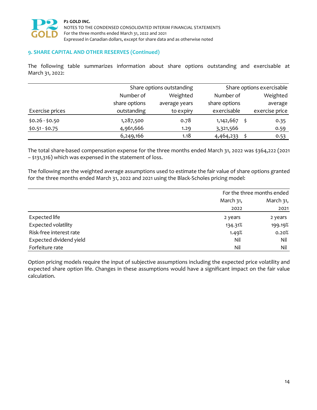

#### **9. SHARE CAPITAL AND OTHER RESERVES (Continued)**

The following table summarizes information about share options outstanding and exercisable at March 31, 2022:

|                 |               | Share options outstanding |                | Share options exercisable |  |  |
|-----------------|---------------|---------------------------|----------------|---------------------------|--|--|
|                 | Number of     | Weighted                  |                | Weighted                  |  |  |
|                 | share options | average years             | share options  | average                   |  |  |
| Exercise prices | outstanding   | to expiry                 | exercisable    | exercise price            |  |  |
| $$0.26 - $0.50$ | 1,287,500     | 0.78                      | $1,142,667$ \$ | 0.35                      |  |  |
| $$0.51 - $0.75$ | 4,961,666     | 1.29                      | 3,321,566      | 0.59                      |  |  |
|                 | 6,249,166     | 1.18                      | 4,464,233      | 0.53                      |  |  |

The total share‐based compensation expense for the three months ended March 31, 2022 was \$364,222 (2021 – \$131,316) which was expensed in the statement of loss.

The following are the weighted average assumptions used to estimate the fair value of share options granted for the three months ended March 31, 2022 and 2021 using the Black‐Scholes pricing model:

|                         | For the three months ended |           |  |
|-------------------------|----------------------------|-----------|--|
|                         | March 31,                  | March 31, |  |
|                         | 2022                       | 2021      |  |
| Expected life           | 2 years                    | 2 years   |  |
| Expected volatility     | 134.31%                    | 199.19%   |  |
| Risk-free interest rate | 1.49%                      | 0.20%     |  |
| Expected dividend yield | Nil                        | Nil       |  |
| Forfeiture rate         | Nil                        | Nil       |  |

Option pricing models require the input of subjective assumptions including the expected price volatility and expected share option life. Changes in these assumptions would have a significant impact on the fair value calculation.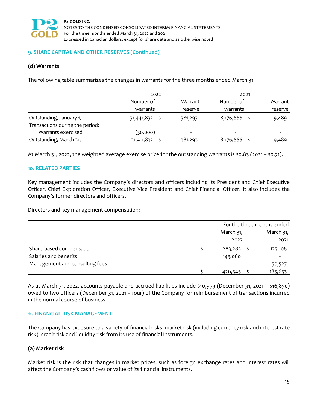

#### **9. SHARE CAPITAL AND OTHER RESERVES (Continued)**

## **(d) Warrants**

The following table summarizes the changes in warrants for the three months ended March 31:

|                                 | 2022       |                          | 2021                     |         |
|---------------------------------|------------|--------------------------|--------------------------|---------|
|                                 | Number of  | Warrant                  | Number of                | Warrant |
|                                 | warrants   | reserve                  | warrants                 | reserve |
| Outstanding, January 1,         | 31,441,832 | 381,293                  | 8,176,666                | 9,489   |
| Transactions during the period: |            |                          |                          |         |
| Warrants exercised              | (30,000)   | $\overline{\phantom{a}}$ | $\overline{\phantom{0}}$ | ۰       |
| Outstanding, March 31,          | 31,411,832 | 381,293                  | 8,176,666                | 9,489   |

At March 31, 2022, the weighted average exercise price for the outstanding warrants is \$0.83 (2021 – \$0.71).

#### **10. RELATED PARTIES**

Key management includes the Company's directors and officers including its President and Chief Executive Officer, Chief Exploration Officer, Executive Vice President and Chief Financial Officer. It also includes the Company's former directors and officers.

Directors and key management compensation:

|                                | For the three months ended |           |  |
|--------------------------------|----------------------------|-----------|--|
|                                | March 31,                  | March 31, |  |
|                                | 2022                       | 2021      |  |
| Share-based compensation       | $283,285$ \$               | 135,106   |  |
| Salaries and benefits          | 143,060                    |           |  |
| Management and consulting fees | $\overline{\phantom{0}}$   | 50,527    |  |
|                                | 426,345                    | 185,633   |  |

As at March 31, 2022, accounts payable and accrued liabilities include \$10,953 (December 31, 2021 – \$16,850) owed to two officers (December 31, 2021 – four) of the Company for reimbursement of transactions incurred in the normal course of business.

#### **11. FINANCIAL RISK MANAGEMENT**

The Company has exposure to a variety of financial risks: market risk (including currency risk and interest rate risk), credit risk and liquidity risk from its use of financial instruments.

## **(a) Market risk**

Market risk is the risk that changes in market prices, such as foreign exchange rates and interest rates will affect the Company's cash flows or value of its financial instruments.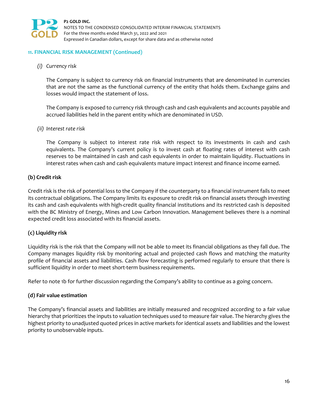

#### **11. FINANCIAL RISK MANAGEMENT (Continued)**

*(i) Currency risk*

The Company is subject to currency risk on financial instruments that are denominated in currencies that are not the same as the functional currency of the entity that holds them. Exchange gains and losses would impact the statement of loss.

The Company is exposed to currency risk through cash and cash equivalents and accounts payable and accrued liabilities held in the parent entity which are denominated in USD.

#### *(ii) Interest rate risk*

The Company is subject to interest rate risk with respect to its investments in cash and cash equivalents. The Company's current policy is to invest cash at floating rates of interest with cash reserves to be maintained in cash and cash equivalents in order to maintain liquidity. Fluctuations in interest rates when cash and cash equivalents mature impact interest and finance income earned.

## **(b) Credit risk**

Credit risk is the risk of potential loss to the Company if the counterparty to a financial instrument fails to meet its contractual obligations. The Company limits its exposure to credit risk on financial assets through investing its cash and cash equivalents with high‐credit quality financial institutions and its restricted cash is deposited with the BC Ministry of Energy, Mines and Low Carbon Innovation. Management believes there is a nominal expected credit loss associated with its financial assets.

## **(c) Liquidity risk**

Liquidity risk is the risk that the Company will not be able to meet its financial obligations as they fall due. The Company manages liquidity risk by monitoring actual and projected cash flows and matching the maturity profile of financial assets and liabilities. Cash flow forecasting is performed regularly to ensure that there is sufficient liquidity in order to meet short-term business requirements.

Refer to note 1b for further discussion regarding the Company's ability to continue as a going concern.

#### **(d) Fair value estimation**

The Company's financial assets and liabilities are initially measured and recognized according to a fair value hierarchy that prioritizes the inputs to valuation techniques used to measure fair value. The hierarchy gives the highest priority to unadjusted quoted prices in active markets for identical assets and liabilities and the lowest priority to unobservable inputs.